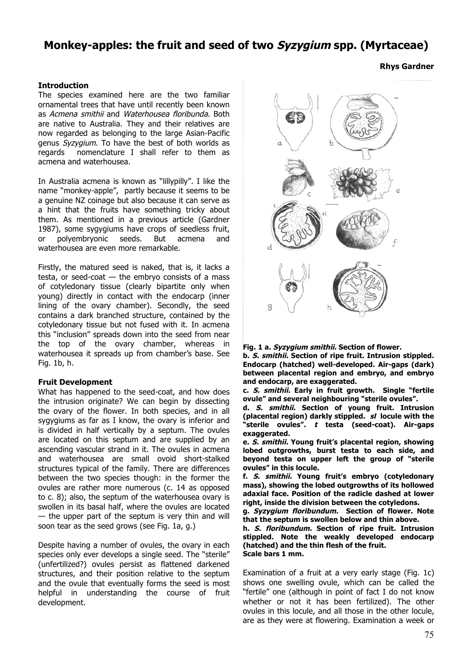# **Monkey-apples: the fruit and seed of two Syzygium spp. (Myrtaceae)**

#### **Introduction**

The species examined here are the two familiar ornamental trees that have until recently been known as Acmena smithii and Waterhousea floribunda. Both are native to Australia. They and their relatives are now regarded as belonging to the large Asian-Pacific genus Syzygium. To have the best of both worlds as regards nomenclature I shall refer to them as acmena and waterhousea.

In Australia acmena is known as "lillypilly". I like the name "monkey-apple", partly because it seems to be a genuine NZ coinage but also because it can serve as a hint that the fruits have something tricky about them. As mentioned in a previous article (Gardner 1987), some sygygiums have crops of seedless fruit, or polyembryonic seeds. But acmena and waterhousea are even more remarkable.

Firstly, the matured seed is naked, that is, it lacks a testa, or seed-coat  $-$  the embryo consists of a mass of cotyledonary tissue (clearly bipartite only when young) directly in contact with the endocarp (inner lining of the ovary chamber). Secondly, the seed contains a dark branched structure, contained by the cotyledonary tissue but not fused with it. In acmena this "inclusion" spreads down into the seed from near the top of the ovary chamber, whereas in waterhousea it spreads up from chamber's base. See Fig. 1b, h.

#### **Fruit Development**

What has happened to the seed-coat, and how does the intrusion originate? We can begin by dissecting the ovary of the flower. In both species, and in all sygygiums as far as I know, the ovary is inferior and is divided in half vertically by a septum. The ovules are located on this septum and are supplied by an ascending vascular strand in it. The ovules in acmena and waterhousea are small ovoid short-stalked structures typical of the family. There are differences between the two species though: in the former the ovules are rather more numerous (c. 14 as opposed to c. 8); also, the septum of the waterhousea ovary is swollen in its basal half, where the ovules are located — the upper part of the septum is very thin and will soon tear as the seed grows (see Fig. 1a, g.)

Despite having a number of ovules, the ovary in each species only ever develops a single seed. The "sterile" (unfertilized?) ovules persist as flattened darkened structures, and their position relative to the septum and the ovule that eventually forms the seed is most helpful in understanding the course of fruit development.



**Fig. 1 a. Syzygium smithii. Section of flower.**

**b. S. smithii. Section of ripe fruit. Intrusion stippled. Endocarp (hatched) well-developed. Air-gaps (dark) between placental region and embryo, and embryo and endocarp, are exaggerated.**

**c. S. smithii. Early in fruit growth. Single "fertile ovule" and several neighbouring "sterile ovules".**

**d. S. smithii. Section of young fruit. Intrusion (placental region) darkly stippled. sl locule with the "sterile ovules". t testa (seed-coat). Air-gaps exaggerated.**

**e. S. smithii. Young fruit's placental region, showing lobed outgrowths, burst testa to each side, and beyond testa on upper left the group of "sterile ovules" in this locule.**

**f. S. smithii. Young fruit's embryo (cotyledonary mass), showing the lobed outgrowths of its hollowed adaxial face. Position of the radicle dashed at lower right, inside the division between the cotyledons.**

**g. Syzygium floribundum. Section of flower. Note that the septum is swollen below and thin above.**

**h. S. floribundum. Section of ripe fruit. Intrusion stippled. Note the weakly developed endocarp (hatched) and the thin flesh of the fruit. Scale bars 1 mm.**

Examination of a fruit at a very early stage (Fig. 1c) shows one swelling ovule, which can be called the "fertile" one (although in point of fact I do not know whether or not it has been fertilized). The other ovules in this locule, and all those in the other locule, are as they were at flowering. Examination a week or

## **Rhys Gardner**